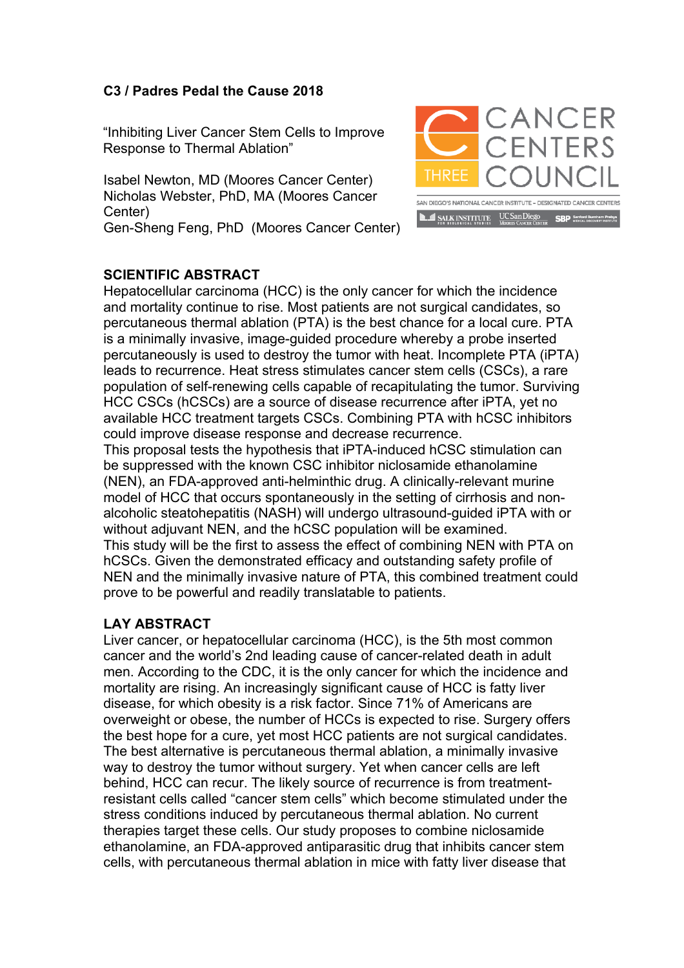## **C3 / Padres Pedal the Cause 2018**

"Inhibiting Liver Cancer Stem Cells to Improve Response to Thermal Ablation"

Isabel Newton, MD (Moores Cancer Center) Nicholas Webster, PhD, MA (Moores Cancer Center) Gen-Sheng Feng, PhD (Moores Cancer Center)



## **SCIENTIFIC ABSTRACT**

Hepatocellular carcinoma (HCC) is the only cancer for which the incidence and mortality continue to rise. Most patients are not surgical candidates, so percutaneous thermal ablation (PTA) is the best chance for a local cure. PTA is a minimally invasive, image-guided procedure whereby a probe inserted percutaneously is used to destroy the tumor with heat. Incomplete PTA (iPTA) leads to recurrence. Heat stress stimulates cancer stem cells (CSCs), a rare population of self-renewing cells capable of recapitulating the tumor. Surviving HCC CSCs (hCSCs) are a source of disease recurrence after iPTA, yet no available HCC treatment targets CSCs. Combining PTA with hCSC inhibitors could improve disease response and decrease recurrence.

This proposal tests the hypothesis that iPTA-induced hCSC stimulation can be suppressed with the known CSC inhibitor niclosamide ethanolamine (NEN), an FDA-approved anti-helminthic drug. A clinically-relevant murine model of HCC that occurs spontaneously in the setting of cirrhosis and nonalcoholic steatohepatitis (NASH) will undergo ultrasound-guided iPTA with or without adjuvant NEN, and the hCSC population will be examined. This study will be the first to assess the effect of combining NEN with PTA on hCSCs. Given the demonstrated efficacy and outstanding safety profile of NEN and the minimally invasive nature of PTA, this combined treatment could prove to be powerful and readily translatable to patients.

## **LAY ABSTRACT**

Liver cancer, or hepatocellular carcinoma (HCC), is the 5th most common cancer and the world's 2nd leading cause of cancer-related death in adult men. According to the CDC, it is the only cancer for which the incidence and mortality are rising. An increasingly significant cause of HCC is fatty liver disease, for which obesity is a risk factor. Since 71% of Americans are overweight or obese, the number of HCCs is expected to rise. Surgery offers the best hope for a cure, yet most HCC patients are not surgical candidates. The best alternative is percutaneous thermal ablation, a minimally invasive way to destroy the tumor without surgery. Yet when cancer cells are left behind, HCC can recur. The likely source of recurrence is from treatmentresistant cells called "cancer stem cells" which become stimulated under the stress conditions induced by percutaneous thermal ablation. No current therapies target these cells. Our study proposes to combine niclosamide ethanolamine, an FDA-approved antiparasitic drug that inhibits cancer stem cells, with percutaneous thermal ablation in mice with fatty liver disease that